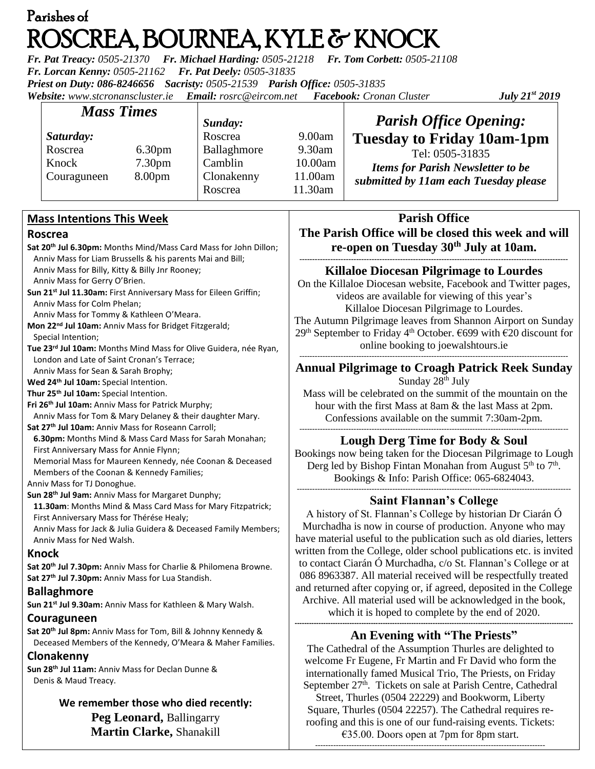# Parishes of ROSCREA, BOURNEA, KYLE & KNOCK

*Fr. Pat Treacy: 0505-21370 Fr. Michael Harding: 0505-21218 Fr. Tom Corbett: 0505-21108 Fr. Lorcan Kenny: 0505-21162 Fr. Pat Deely: 0505-31835 Priest on Duty: 086-8246656 Sacristy: 0505-21539 Parish Office: 0505-31835 Website: [www.stcronanscluster.ie](http://www.stcronanscluster.ie/) Email: [rosrc@eircom.net](mailto:rosrc@eircom.net) Facebook: Cronan Cluster July 21st 2019*

| <b>Mass Times</b> |                    | Sunday:     |         | <b>Parish Office Opening:</b>                                                                        |
|-------------------|--------------------|-------------|---------|------------------------------------------------------------------------------------------------------|
| Saturday:         |                    | Roscrea     | 9.00am  | <b>Tuesday to Friday 10am-1pm</b>                                                                    |
| Roscrea           | 6.30 <sub>pm</sub> | Ballaghmore | 9.30am  | Tel: 0505-31835<br><b>Items for Parish Newsletter to be</b><br>submitted by 11am each Tuesday please |
| Knock             | 7.30 <sub>pm</sub> | Camblin     | 10.00am |                                                                                                      |
| Couraguneen       | 8.00 <sub>pm</sub> | Clonakenny  | 11.00am |                                                                                                      |
|                   |                    | Roscrea     | 11.30am |                                                                                                      |

## **Mass Intentions This Week**

#### **Roscrea**

**Sat 20th Jul 6.30pm:** Months Mind/Mass Card Mass for John Dillon; Anniv Mass for Liam Brussells & his parents Mai and Bill; Anniv Mass for Billy, Kitty & Billy Jnr Rooney; Anniv Mass for Gerry O'Brien. **Sun 21st Jul 11.30am:** First Anniversary Mass for Eileen Griffin; Anniv Mass for Colm Phelan; Anniv Mass for Tommy & Kathleen O'Meara. **Mon 22nd Jul 10am:** Anniv Mass for Bridget Fitzgerald; Special Intention; **Tue 23rd Jul 10am:** Months Mind Mass for Olive Guidera, née Ryan, London and Late of Saint Cronan's Terrace; Anniv Mass for Sean & Sarah Brophy; **Wed 24th Jul 10am:** Special Intention. **Thur 25th Jul 10am:** Special Intention. **Fri 26th Jul 10am:** Anniv Mass for Patrick Murphy; Anniv Mass for Tom & Mary Delaney & their daughter Mary. **Sat 27th Jul 10am:** Anniv Mass for Roseann Carroll; **6.30pm:** Months Mind & Mass Card Mass for Sarah Monahan; First Anniversary Mass for Annie Flynn; Memorial Mass for Maureen Kennedy, née Coonan & Deceased Members of the Coonan & Kennedy Families; Anniv Mass for TJ Donoghue. **Sun 28th Jul 9am:** Anniv Mass for Margaret Dunphy; **11.30am**: Months Mind & Mass Card Mass for Mary Fitzpatrick; First Anniversary Mass for Thérése Healy; Anniv Mass for Jack & Julia Guidera & Deceased Family Members; Anniv Mass for Ned Walsh. **Knock Sat 20th Jul 7.30pm:** Anniv Mass for Charlie & Philomena Browne. **Sat 27th Jul 7.30pm:** Anniv Mass for Lua Standish.

## **Ballaghmore**

**Sun 21st Jul 9.30am:** Anniv Mass for Kathleen & Mary Walsh.

## **Couraguneen**

**Sat 20th Jul 8pm:** Anniv Mass for Tom, Bill & Johnny Kennedy & Deceased Members of the Kennedy, O'Meara & Maher Families.

## **Clonakenny**

**Sun 28th Jul 11am:** Anniv Mass for Declan Dunne & Denis & Maud Treacy.

> **We remember those who died recently: Peg Leonard,** Ballingarry **Martin Clarke,** Shanakill

# **Parish Office The Parish Office will be closed this week and will re-open on Tuesday 30th July at 10am.**

**-------------------------------------------------------------------------------------------------------- Killaloe Diocesan Pilgrimage to Lourdes**

On the Killaloe Diocesan website, Facebook and Twitter pages, videos are available for viewing of this year's Killaloe Diocesan Pilgrimage to Lourdes. The Autumn Pilgrimage leaves from Shannon Airport on Sunday 29<sup>th</sup> September to Friday 4<sup>th</sup> October. €699 with €20 discount for online booking to joewalshtours.ie --------------------------------------------------------------------------------------------------------

## **Annual Pilgrimage to Croagh Patrick Reek Sunday** Sunday  $28<sup>th</sup>$  July

Mass will be celebrated on the summit of the mountain on the hour with the first Mass at 8am & the last Mass at 2pm. Confessions available on the summit 7:30am-2pm. --------------------------------------------------------------------------------------------------------

# **Lough Derg Time for Body & Soul**

Bookings now being taken for the Diocesan Pilgrimage to Lough Derg led by Bishop Fintan Monahan from August  $5<sup>th</sup>$  to  $7<sup>th</sup>$ . Bookings & Info: Parish Office: 065-6824043. ----------------------------------------------------------------------------------------------------------

## **Saint Flannan's College**

A history of St. Flannan's College by historian Dr Ciarán Ó Murchadha is now in course of production. Anyone who may have material useful to the publication such as old diaries, letters written from the College, older school publications etc. is invited to contact Ciarán Ó Murchadha, c/o St. Flannan's College or at 086 8963387. All material received will be respectfully treated and returned after copying or, if agreed, deposited in the College Archive. All material used will be acknowledged in the book, which it is hoped to complete by the end of 2020.

#### **--------------------------------------------------------------------------------------------------------------------- An Evening with "The Priests"**

The Cathedral of the Assumption Thurles are delighted to welcome Fr Eugene, Fr Martin and Fr David who form the internationally famed Musical Trio, The Priests, on Friday September 27<sup>th</sup>. Tickets on sale at Parish Centre, Cathedral

Street, Thurles (0504 22229) and Bookworm, Liberty Square, Thurles (0504 22257). The Cathedral requires reroofing and this is one of our fund-raising events. Tickets: €35.00. Doors open at 7pm for 8pm start.

-----------------------------------------------------------------------------------------